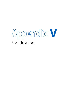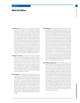## **About the Authors**

**395**

- **Ilham Bennani** is Head of the Technological Innovation Department in the Moroccan Industrial and Commercial Property Office (OMPIC). She is responsible for managing operations dealing with innovation, including activities with universities, engineering schools, and research centres. She is also in charge of the management of training activities in the Moroccan Academy of Intellectual Property and Commercial (AMAPIC), created in 2012 by OMPIC. Since 1992, she has held several positions, including Head of Patents Service, Head of Industrial Design Service, and Head of the Patent and Industrial Designs Department at OMPIC. She has taken part in many courses at the World Intellectual Property Organization, the European Patent Office, and the USPTO Global Intellectual Property Academy. She received an Engineering Diploma in Process Engineering in 1991 from the Engineers Mohammedia School (EMI) in Morocco and a Master of Organic Chemistry in 1989 from the Science Faculty, University Sidi Mohammed Ben Abdellah Fes in Morocco.
- **Alexandra L. Bernard** joined Cornell University in September 2013. She is the Project Manager of the Global Innovation Index 2014. Her previous professional experience includes working as a senior consultant in the transfer pricing international tax team at PwC in Melbourne, Australia. Prior to that she worked as a financial analyst for Australia and New Zealand Banking Group. She has also worked as a senior event coordinator for an Australian event management company, which involved running tour marketing campaigns, brand management activations, and social media development. She obtained her Bachelor of Commerce from Monash University in Melbourne, Australia.
- **Marwan Berrada** is from Rabat, Morocco. At the Ministry in Charge of Moroccans Living Abroad and Migration Affairs, he was Head of Research and Economic Action between 2011 and 2012 and has been Head of the Networks Skills Development since 2012. He ensures the monitoring and coordination of the creation of several Diaspora experts networks, including geographic networks (Germany, France, Canada, USA) and thematic ones (World Moroccan Medical Skills Network). He has represented the Ministry in several meetings and conferences abroad, including in France, Spain, Italy, Germany, Slovenia, Canada, Egypt, and the United Arab Emirates. He holds a Bachelor's degree in Geography (2006) and a Master of Country Planning (2008) from the Mohammed V University in Rabat.
- **Ahmad Bin Byat** is the Founding Chairman of du and one of the most prominent corporate leaders in Dubai. He holds a number of high-ranking directorial positions and plays an instrumental role in leading key economic initiatives designed to drive Dubai's knowledge-based economy forward. He is currently Chief Executive Officer of Dubai Holding, a member of the Board of Trustees at Dubai School of Government, and Director General at Dubai Technology and Media Free Zone Authority. Mr Bin Byat has also held a number of other senior roles, including stints as Executive Chairman of TECOM Investments; Chairman of Dubai Real Estate Corporation (DREC); Secretary General of the Dubai Executive Council; President of the Dubai Government Excellence Programme; Chairman of the Dubai Education Council; a member of the Board of Trustees for Zayed University; Chairman of the Board of Directors at The Consulting Office; and a member of the Board of Thuraya Telecommunications Company. Additionally, he is a former Member of the Supreme Committee for the Supervision of the Telecommunication Sector in the UAE and the Dubai Supreme Fiscal Committee. He is a highly resourceful and inspiring corporate leader successful in building high-performing teams, creating partnerships, and nurturing long-term relationships.
- **Nour-Eddine Boukharouaa** is from Beni Mellal, Morocco, and joined the Moroccan Industrial and Commercial Property Office (OMPIC) in 2005 as a Patent Engineer Examiner in charge of the examination of patents in areas such as thermal energy, plastics, and building materials. He has undergone training programmes given by the World Intellectual Property Organization (WIPO), the European Patent Office, and the USPTO Global Intellectual Property Academy. Currently Mr Boukharouaa is in charge of innovation enhancement at OMPIC. His main duties concern developing a patent system in Morocco for universities, R&D centres, and small and medium-size enterprises. He has conducted many training programmes for national and international organizations such as WIPO and the Organization of Islamic Cooperation (OIC). He obtained a Baccalaureate degree from Ecole Royale de l'Air in Marrakech in 1999. In 2005, he graduated from the National School of Applied Sciences in the field of Industrial Engineering, and in 2012, he followed a training programme in Licensing and Technology Commercialisation at in the University of California, Davis.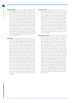**Abdelhak Chaibi** is an expert in innovation management, and has worked since 2000 at R&D Maroc (Association R&D Morocco). R&D Maroc's general mission is to initiate, implement, and foster innovation and research development and to conduct activities that accelerate innovation in industry, business, and society. As Project Manager, he manages projects to facilitate the transfer and synergy among technology companies, R&D laboratories, and research institutions. Mr Chaibi is a member of several expert groups on measuring innovation; a member of the Ad Hoc Committee for Monitoring Indicators of Science and Technology, chaired by the Academy of Science and Technology; and a member of RDT (Technological Network of Diffusion). Since July 2008, Mr Chaibi has coordinated two Seventh Framework coordination and support projects within R&D Maroc: M2ERA (a bilateral project for integrating Morocco into the European research area, 2009–2012) and MOBILISE—Morocco and the EU: Strengthening Bilateral Links in Innovation and Science for Economy (2012–2015).

**Salma Dinia** has attended several trainings related to science, technology, innovation, and entrepreneurship management and evaluation. She joined the National Centre for Scientific and Technical Research (CNRST) in 1993 as a Researcher at the Remote Sensing and Digital Image Processing Lab. In 2003, she managed a national research programme called PROTARS3 (among 120 projects funded, 13 projects were supported to promote enterprises' competitiveness). In 2004, she joined the Moroccan Incubation and Spin-offs Network (Réseau Maroc Incubation et Essaimage, or RMIE) and became the Manager of this network in 2005 (which has 14 incubators and has funded more than 50 start-ups). Since 2006, she has worked as Head of Relations with Enterprises Unit, CNRST. Ms Dinia conducted and contributed to several studies and projects dealing with marketing, incubation, entrepreneurship, and innovation at national and international levels. She organized, contributed, and chaired many national and international workshops and conferences addressing research, innovation, business incubation, and entrepreneurship issues and has consulted nationally on these topics. During the last 10 years, she has been involved in science technology and innovation programmes supported by the European Investment Bank, the European Union, and programmes of bilateral and multilateral cooperation. Ms Dinia has an Engineering Diploma in Civil Engineering (Hydraulic).

- **Soumitra Dutta** is the Anne and Elmer Lindseth Dean and Professor of Management at the Samuel Curtis Johnson Graduate School of Management at Cornell University, New York. Prior to July 2012, he was the Roland Berger Chaired Professor of Business and Technology at INSEAD and the founding director of eLab, a centre of excellence in the digital economy. His current research is on technology strategy and innovation policies at both corporate and national levels. He has won several awards for research and pedagogy and is actively involved in strategy and policy consulting. His research has been showcased in the global media and he has received a number of awards, including the Light of India Award '12 (from the Times of India media group) and the Global Innovation Award '13 (from INNOVEX in Israel). Professor Dutta obtained his PhD in Computer Science and his MSc in Business Administration from the University of California at Berkeley.
- **Abdesselam El Ftouh** is a former Inspector of Trade at the Ministry of Trade and Industry in Morocco, and he joined the administration of the Prime Minister as a Research Officer and Policy Officer Representative to the Head of Government. He served in the Department of Economic Affairs in the 1980s, where he was responsible for monitoring several strategic economic sectors and worked on structural adjustment and Moroccan economic liberalization. He participated in building the Administration in charge of Privatization in Morocco, which he joined in 1991, becoming the Director and Coordinator of Transfer Operations in 1995. Four years later, in July 1999, he was appointed Director of the Economic Development Division at the Hassan II Foundation for Moroccans Residing Abroad; he has been the General Treasurer of the same foundation since April 2011. Mr El Ftouh supervised several studies in economic, financial, and banking fields as he participated in research on Moroccan migration, both at the Hassan II Foundation and the university, and he has led several international cooperation programmes on migration. He is also a seminar leader for Master's degree programmes in the field of migration at the University Mohamed V Agdal Rabat. He is a member of the Moroccan Association for Research on International Migration, where he accompanied, as a member of the scientific council of the research programme Mim-AMERM, 30 research projects; he has also made other contributions in the area of international migration of Moroccans.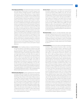- **Omar Elyoussoufi Attou** is the Head of the Division of Innovation and Valorization (Directorate of Scientific Research and Innovation, Ministry of Higher Education, Scientific Research and Executive Training, Rabat Morocco). A Senior Engineer and a national expert in innovation policies and R&D valorization, Mr Elyoussoufi has worked for 12 years at the Directorate of Scientific Research, where he has experience in innovation policies and has been involved in various projects at national and regional levels. During the last 10 years, his work has focused on establishing and managing national programmes that aim to strengthen and boost the valorization of research, to stimulate innovation and university-business linkage, and to enable new youth employment opportunities through the creation of technology start-ups, with the ultimate goal of upgrading the national system of research and innovation. He also participated in the elaboration of several studies related to innovation and the valorization of research results (Evaluation Study of the Potential of Prototyping Activities in Morocco, Patent and Inventive Activity in Morocco, and Venture Capital and the Financing of Innovation in Morocco). Mr Elyoussoufi holds an Engineering Diploma in Production Systems from the National School of Mineral Industry (Morocco) and a Post-Graduate Diploma in IT from the National School of Computer Science and Systems Analysis (Morocco).
- **Adil El Maliki** is from Casablanca, Morocco. He joined the Division of Chemical Industry of the Ministry of Industry and Trade in 1993, and became Head of the Department of Building Materials Industries in 1996. During 1997, he was in charge of central business registry and became Head of the Inventions and Trade Studies division until 2000. After the creation of the OMPIC (Moroccan Industrial and Commercial Property Office) in 2000, he was responsible for the Information and Communication Department until 2007. Since 2008, he has been Director General of the OMPIC. He has been an administrator of the Moroccan Centre for Innovation since October 2012, and a member of R&D Maroc since July 2011. He is the president of the Standing Committee on the Law of Trademarks, Industrial Designs and Geographical Indications, and has participated in the establishment of the ACTA (Anti-Counterfeiting Agreement) treaty. In 1992, he graduated from Mohammadia Engineering School in Chemistry Process.
- **Rafael Escalona Reynoso** has been Lead Researcher at the Global Innovation Index since October 2013. His previous professional experience includes working as Economic and Science and Technology Policy Advisor to the Senate of Mexico and as a member of the Trade and Foreign Investment Advisory Board at the office the President of Mexico. His research experience at Cornell University includes comparative studies between Mexico and Spain on the regulatory aspects of modern biotechnology and the biosafety of genetically modified organisms (GMOs), and on the reach of intellectual property rights (IPRs) in the information technologies era. He holds a PhD in Regional Planning and a Master in Public Administration from Cornell University as well as a BA in Economics from Universidad Panamericana in Mexico.
- **Karima Farah** has been Director of Patents and Technological Innovation Department in the Moroccan Industrial and Commercial Property Office (OMPIC) since 2011. Her main duties are the management of national and international patent applications' processing procedures and the promotion of the use of the patent system. Ms Farah joined OMPIC in 2001 initially as an Engineer in the Patent Service. She then held the position of Trademarks Service Head. From 2007 to 2011, she headed the Department of Trademarks and Distinctive Signs in OMPIC. Before joining OMPIC, Ms Farah began her career in the private sector in 1991, initially with a position where she was responsible for Maintenance, then as a technical director of a company operating in the textile sector. Ms Farah holds an Engineering Diploma in Electrotechnics and Power Electronics.
- **Naushad Forbes** is Director of Forbes Marshall, India's leading Steam Engineering and Control Instrumentation firm. He chairs the Steam Engineering Companies within the group. Dr Forbes was a Lecturer and Consulting Professor at Stanford University in the Program in Science, Technology and Society from 1987 to 2004. He has held various positions in the Confederation of Indian Industry and is Vice President for 2014–15.
- **Leonid Gokhberg** is the First Vice-Rector of the National Research University – Higher School of Economics (HSE)—one of the most prominent universities in Russia—and Director of HSE Institute for Statistical Studies and Economics of Knowledge. From 1988 to 1991 he was Head of the Laboratory for S&T Statistics at the Research Institute for Statistics, and from 1991 to 2002 was Deputy Director at the Centre for Science Research and Statistics (CSRS) in Moscow. Professor Gokhberg coordinated more than 300 national and international projects sponsored by various national authorities, regional agencies, and industrial companies as well as by the European Commission, the World Bank, UNIDO, the US National Science Foundation, and IIASA among others, in the areas of S&T and innovation indicators, analyses, foresight, and policies. Professor Gokhberg has served as a consultant to the OECD, Eurostat, UNESCO, the UN Economic Commission for Europe, and other international and national agencies. He is also Editor-in-Chief of the Moscow-based scientific journal *Foresight-Russia,* which ranks 1st in science studies and in management and 4th in economics according to the Russian National Science Citation Index. Professor Gokhberg is a member of the OECD and Eurostat expert groups on indicators for S&T, information society, and education and serves on the International Advisory Board of the Global Innovation Index (WIPO/INSEAD). In 2011, he was appointed Chairman of the Expert Group on Innovation Policy established by the Government of the Russian Federation to provide recommendations for a Socio-Economic Development Strategy for the Russian Federation until 2020 (Strategy-2020). Professor Gokhberg is the author of over 350 papers published in the Russian Federation and internationally, including several monographs and textbooks for universities. He holds a Doctorate and a Professor Diploma in Economics.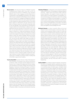**Bruno Lanvin** is the Executive Director of INSEAD's European Competitiveness Initiative (IECI). From 2007 to 2012, he was the Executive Director of INSEAD's eLab, managing INSEAD's teams in Paris, Singapore, and Abu Dhabi. He is a Commissioner on the Broadband Commission. From 2000 to 2007, Dr Lanvin worked for the World Bank, where he was inter alia Senior Advisor for E-strategies and Regional Coordinator (Europe and Central Asia) for ICT and e-government issues. He also headed the Capacity Building Practice of the World Bank's Global ICT Department and was Chairman of the Bank's e-Thematic Group. From June 2001 to December 2003, he was the Manager of the Information for Development Program (infoDev) at the World Bank. In 2000, Dr Lanvin was appointed Executive Secretary of the G8-DOT Force. Until then, he was Head of Electronic Commerce in the United Nations Conference on Trade and Development (UNCTAD) in Geneva, and occupied various senior positions including Chief of the Cabinet of the Director General of the United Nations in New York, Head of Strategic Planning, and later Chief of the SME Trade Competitiveness Unit of UNCTAD/ SITE. He was the main drafter, team leader, and editor of *Building Confidence: Electronic Commerce and Development,*  published in January 2000. Since 2002, he has been coauthoring *The Global Information Technology Report* (INSEAD-World Economic Forum-Cornell University); he is currently the co-editor of the *Global Innovation Index* report (INSEAD-WIPO-Cornell University). He holds a BA in Mathematics and Physics from the University of Valenciennes (France), an MBA from Ecole des Hautes Etudes Commerciales (HEC) in Paris, and a PhD in Economics from the University of Paris I (La Sorbonne) in France. A frequent speaker at high-level meetings, he advises a number of global companies and governments and is a member of numerous boards, including that of the Tallinn e-government Academy.

**Yassine Ouardirhi** has been Division Chief of Development and Promotion of Innovation since 2010 at the Ministry of Industry, Trade, Investment and the Digital Economy in Morocco. He is in charge of the deployment of three strategic axes of the Morocco Innovation strategy: the Governance and Regulatory Framework, Funding and Support, and Talents Mobilization. Before 2010, he held several senior positions, including Head of the Department of Computer Science programmes and coordinator for e-education and ICT Research at the former Moroccan Department of Telecommunications and Information Technologies. Mr Ouardirhi was the project leader of the ICT Observatory in Morocco and a member of the International Working Group of the United Nations (and the African Regional Group) for measuring the information society in the framework of the second World Summit on the Information Society in Tunis (2005). Today he is a proponent of the Innovation Observatory in Morocco, which will be based on the core indicators of the GII. Mr Ouardirhi graduated as Chief Engineer in 1986 from the Ecole Mohammedia of Engineers, Rabat, in Automation and Industrial Computing.

- **Valentina Poliakova** is a Researcher at the Institute for Statistical Studies and Economics of Knowledge, the National Research University – Higher School of Economics (HSE) in Moscow, Russian Federation. Her academic interests include sociological studies of innovation behaviour of populations, science and technology, and medicine as well as the sociology of expertise. Ms Poliakova has participated in a number of research projects related to the examination of public opinion on science and technology, innovative practices of populations, and the social legitimation of innovation. She holds a Master in Sociology with a specialization in the sociological theory and applied social knowledge from HSE.
- **Michaela Saisana** is a Senior Scientific Officer at the Joint Research Centre of the European Commission (Italy). She conducts and coordinates research (a team of 10 post-doc researchers) on multidimensional measures for policy making on social, economic, and environmental issues. She is offering regular training courses on composite indicator development to European Commission Officials and to international organizations and academia. Since 2005, she has audited over 60 well-known composite indicators at the invitation of the United Nations, Transparency International, the World Economic Forum, INSEAD, and the World Intellectual Property Organization, among others. She has co-authored two books: *Handbook on Constructing Composite Indicators: Methodology and User Guide* (OECD/JRC, 2008) and *Global Sensitivity Analysis: The Primer* (2008). Her publications deal with sensitivity analysis, composite indicators, multicriteria analysis, multivariate analysis, data envelopment analysis, and multi-objective optimization (20 peer-reviewed publications, 60 working papers). In 2004 she was awarded the European Commission's JRC Young Scientist Prize in Statistics and Econometrics in recognition of her research on composite indicators. She has a PhD and an MSc in Chemical Engineering.
- **Andrea Saltelli** has worked on physical chemistry, environmental sciences, and applied statistics, publishing over 80 peerreviewed papers and three books. His main disciplinary focus is on *sensitivity analysis* of model output, a discipline where statistical tools are used to interpret the output from mathematical or computational models; and on *sensitivity auditing,* an extension of sensitivity analysis to the entire evidencegenerating process in a policy context. A second focus is the construction of composite indicators or indices. Mr Saltelli presently leads the Econometric and Applied Statistics Unit of the European Commission at the Joint Research Centre in Ispra (I). The Unit, with a staff of 30, develops econometric and statistic applications, mostly in support to the services of the European Commission, in fields such as lifelong learning, inequality, employment, competitiveness, and innovation. He participates to the training of European Commission staff on impact assessment.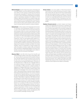- **Martin Schaaper** has been Head of the Science, Technology and Innovation Statistics unit at the UNESCO Institute for Statistics since 2009. His work consists of collecting and analysing internationally comparable STI indicators from all countries in world, as well as developing methodology and building capacity in developing countries for the collection of these indicators. Before joining UNESCO, he worked for eight years for the OECD, where he was responsible for the co-operation with non-OECD countries in the fields of STI and ICT statistics; and six years for various small companies, which were working on a contract basis for Eurostat on a variety of statistics.
- **Richard Scott** is a Policy Analyst at the Organisation for Economic Co-operation and Development (OECD). He currently works within the OECD Centre for Educational Research and Innovation (CERI). His current work examines the skills required for innovation and innovative economies, as well as educational research and development. Before joining CERI, he worked in the OECD Directorate for Science, Technology and Industry as part of the OECD Young Professionals Programme. There, his work predominantly related to science and innovation policy, with a particular focus on the economic impacts of public investment in R&D. Prior to joining the OECD, he worked as a government economist at the Department for Business, Innovation and Skills in the United Kingdom, where he contributed to a range of analysis and policy formulations on labour markets, skills, and industrial policy. He holds an undergraduate degree in Economics from Durham University in the United Kingdom and a Master in Economics from the University of Nottingham.
- **Sibusiso Sibisi** is the CEO of the Council for Scientific and Industrial Research (CSIR) in South Africa, having taken office on 1 January 2002. He previously held the position of Deputy Vice-Chancellor (Research and Innovation) at the University of Cape Town (UCT). Dr Sibisi joined the Department of Computational and Applied Mathematics, University of the Witwatersrand, in 1984 and was a Fulbright Fellow at the California Institute of Technology in 1988. He returned to Cambridge in 1989 to assume a research position at Department of Applied Mathematics and Theoretical Physics (DAMTP) and, in 1991, co-founded a research-based small enterprise at Cambridge. On his return to South Africa in 1997, Dr Sibisi joined Plessey as Executive Director (Research & Development) before joining UCT. He is a former chairman of South Africa's National Advisory Council on Innovation. Dr Sibisi was awarded the Order of Mapungubwe: Silver by President Thabo Mbeki in September 2007 (National Orders are bestowed on South Africans who contribute to the betterment of the country in their respective fields and represent the highest award that a country, through its President, bestows on its citizens). Dr Sibisi serves on the boards of Liberty Life and the Mapungubwe Institute. He is also a member of the advisory board of the UN's World Intellectual Property Organisation. Dr Sibisi was born in Mariannhill, KwaZulu-Natal, South Africa. He completed a BSc (Hons) in Physics at Imperial College, London, and obtained a PhD from the DAMTP, Cambridge University in 1983.
- **Osman Sultan** is an iconic leader in telecommunications. Stemming from his belief that being connected is today a basic human right, Mr Sultan has led many transformations that have had a profound impact on people. He has led du as its CEO since 2006, ensuring that the company continues to remain on a sustainable growth path and set new benchmarks, such as taking the lead in developing smart technologies and investing in broadband for the betterment of people.
- **Stéphan Vincent-Lancrin** is a Senior Analyst and Project Leader at the Organisation for Economic Co-operation and Development (OECD) Directorate for Education and Skills. He is currently responsible for the Innovation Strategy for Education and Training project within the OECD Centre for Educational Research and Innovation (CERI). His current interests cover the nature and level of education and skills that matter in innovation and knowledge societies, the innovation ecology in the education sector, and the measurement of innovation in education. His recent work covers the identification of skills for innovation-driven societies and how education systems can foster them (21st-century skills) through specific curricula, pedagogy, and assessments—at all educational levels. His most recent book, co-authored with Ellen Winner and Thalia Goldstein, is *Art for Art's Sake: The Impact of Arts Education* (OECD Publishing). He also works on STEM education and participates in OECD reviews related to innovation and research systems. Dr Vincent-Lancrin has been working extensively on many facets of higher education and innovation, including the internationalization and future of higher education, and e-learning. He has authored many articles and book chapters and edited several books. Before joining the OECD, he worked as lecturer and researcher in economics at the University of Paris-Nanterre and the London School of Economics. He is a Marie Curie Fellow and a 2007 Fulbright New Century Scholar. He holds a PhD in Economics, a Business School Diploma, and a Master in Philosophy.